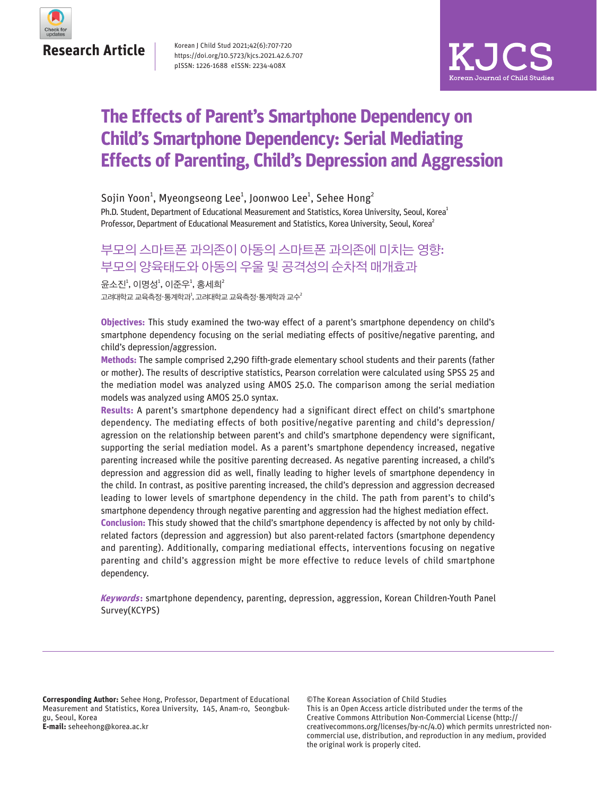

Korean J Child Stud 2021;42(6):707-720 https://doi.org/10.5723/kjcs.2021.42.6.707 pISSN: 1226-1688 eISSN: 2234-408X



# **The Effects of Parent's Smartphone Dependency on Child's Smartphone Dependency: Serial Mediating Effects of Parenting, Child's Depression and Aggression**

Ph.D. Student, Department of Educational Measurement and Statistics, Korea University, Seoul, Korea<sup>1</sup> Professor, Department of Educational Measurement and Statistics, Korea University, Seoul, Korea<sup>2</sup> Sojin Yoon $^1$ , Myeongseong Lee $^1$ , Joonwoo Lee $^1$ , Sehee Hong $^2$ 

# 부모의 스마트폰 과의존이 아동의 스마트폰 과의존에 미치는 영향: 부모의 양육태도와 아동의 우울 및 공격성의 순차적 매개효과

고려대학교 교육측정·통계학과 $^{\rm l}$ , 고려대학교 교육측정·통계학과 교수 $^{\rm l}$ 윤소진<sup>1</sup>, 이명성<sup>1</sup>, 이준우<sup>1</sup>, 홍세희<sup>2</sup>

**Objectives:** This study examined the two-way effect of a parent's smartphone dependency on child's smartphone dependency focusing on the serial mediating effects of positive/negative parenting, and child's depression/aggression.

**Methods:** The sample comprised 2,290 fifth-grade elementary school students and their parents (father or mother). The results of descriptive statistics, Pearson correlation were calculated using SPSS 25 and the mediation model was analyzed using AMOS 25.0. The comparison among the serial mediation models was analyzed using AMOS 25.0 syntax.

**Results:** A parent's smartphone dependency had a significant direct effect on child's smartphone dependency. The mediating effects of both positive/negative parenting and child's depression/ agression on the relationship between parent's and child's smartphone dependency were significant, supporting the serial mediation model. As a parent's smartphone dependency increased, negative parenting increased while the positive parenting decreased. As negative parenting increased, a child's depression and aggression did as well, finally leading to higher levels of smartphone dependency in the child. In contrast, as positive parenting increased, the child's depression and aggression decreased leading to lower levels of smartphone dependency in the child. The path from parent's to child's smartphone dependency through negative parenting and aggression had the highest mediation effect.

**Conclusion:** This study showed that the child's smartphone dependency is affected by not only by childrelated factors (depression and aggression) but also parent-related factors (smartphone dependency and parenting). Additionally, comparing mediational effects, interventions focusing on negative parenting and child's aggression might be more effective to reduce levels of child smartphone dependency.

**Keywords:** smartphone dependency, parenting, depression, aggression, Korean Children-Youth Panel Survey(KCYPS)

**Corresponding Author:** Sehee Hong, Professor, Department of Educational Measurement and Statistics, Korea University, 145, Anam-ro, Seongbukgu, Seoul, Korea **E-mail:** seheehong@korea.ac.kr

©The Korean Association of Child Studies This is an Open Access article distributed under the terms of the

Creative Commons Attribution Non-Commercial License (http:// creativecommons.org/licenses/by-nc/4.0) which permits unrestricted noncommercial use, distribution, and reproduction in any medium, provided the original work is properly cited.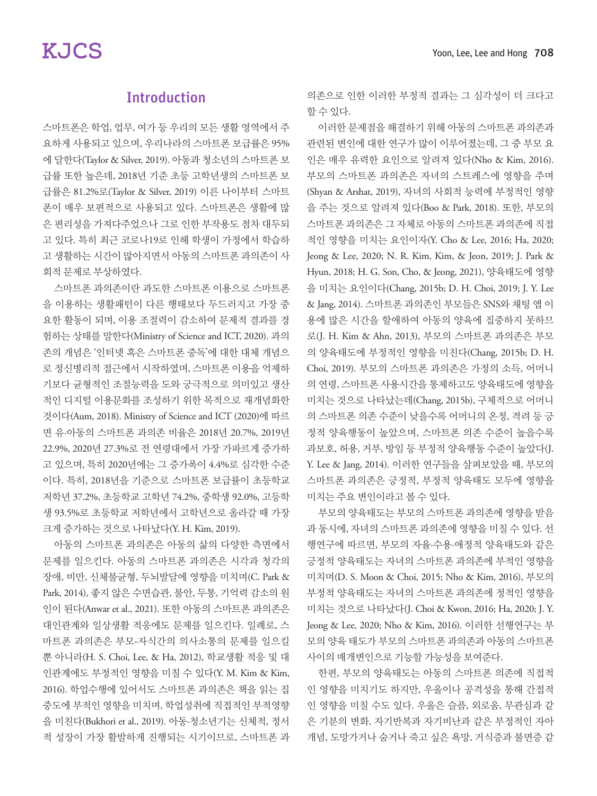# Introduction

스마트폰은 학업, 업무, 여가 등 우리의 모든 생활 영역에서 주 요하게 사용되고 있으며, 우리나라의 스마트폰 보급률은 95% 에 달한다(Taylor & Silver, 2019). 아동과 청소년의 스마트폰 보 급률 또한 높은데, 2018년 기준 초등 고학년생의 스마트폰 보 급률은 81.2%로(Taylor & Silver, 2019) 이른 나이부터 스마트 폰이 매우 보편적으로 사용되고 있다. 스마트폰은 생활에 많 은 편리성을 가져다주었으나 그로 인한 부작용도 점차 대두되 고 있다. 특히 최근 코로나19로 인해 학생이 가정에서 학습하 고 생활하는 시간이 많아지면서 아동의 스마트폰 과의존이 사 회적 문제로 부상하였다.

스마트폰 과의존이란 과도한 스마트폰 이용으로 스마트폰 을 이용하는 생활패턴이 다른 행태보다 두드러지고 가장 중 요한 활동이 되며, 이용 조절력이 감소하여 문제적 결과를 경 험하는 상태를 말한다(Ministry of Science and ICT, 2020). 과의 존의 개념은 '인터넷 혹은 스마트폰 중독'에 대한 대체 개념으 로 정신병리적 접근에서 시작하였며, 스마트폰 이용을 억제하 기보다 균형적인 조절능력을 도와 궁극적으로 의미있고 생산 적인 디지털 이용문화를 조성하기 위한 목적으로 재개념화한 것이다(Aum, 2018). Ministry of Science and ICT (2020)에 따르 면 유·아동의 스마트폰 과의존 비율은 2018년 20.7%, 2019년 22.9%, 2020년 27.3%로 전 연령대에서 가장 가파르게 증가하 고 있으며, 특히 2020년에는 그 증가폭이 4.4%로 심각한 수준 이다. 특히, 2018년을 기준으로 스마트폰 보급률이 초등학교 저학년 37.2%, 초등학교 고학년 74.2%, 중학생 92.0%, 고등학 생 93.5%로 초등학교 저학년에서 고학년으로 올라갈 때 가장 크게 증가하는 것으로 나타났다(Y. H. Kim, 2019).

아동의 스마트폰 과의존은 아동의 삶의 다양한 측면에서 문제를 일으킨다. 아동의 스마트폰 과의존은 시각과 청각의 장애, 비만, 신체불균형, 두뇌발달에 영향을 미치며(C. Park & Park, 2014), 좋지 않은 수면습관, 불안, 두통, 기억력 감소의 원 인이 된다(Anwar et al., 2021). 또한 아동의 스마트폰 과의존은 대인관계와 일상생활 적응에도 문제를 일으킨다. 일례로, 스 마트폰 과의존은 부모-자식간의 의사소통의 문제를 일으킬 뿐 아니라(H. S. Choi, Lee, & Ha, 2012), 학교생활 적응 및 대 인관계에도 부정적인 영향을 미칠 수 있다(Y. M. Kim & Kim, 2016). 학업수행에 있어서도 스마트폰 과의존은 책을 읽는 집 중도에 부적인 영향을 미치며, 학업성취에 직접적인 부적영향 을 미친다(Bukhori et al., 2019). 아동·청소년기는 신체적, 정서 적 성장이 가장 활발하게 진행되는 시기이므로, 스마트폰 과 의존으로 인한 이러한 부정적 결과는 그 심각성이 더 크다고 할 수 있다.

이러한 문제점을 해결하기 위해 아동의 스마트폰 과의존과 관련된 변인에 대한 연구가 많이 이루어졌는데, 그 중 부모 요 인은 매우 유력한 요인으로 알려져 있다(Nho & Kim, 2016). 부모의 스마트폰 과의존은 자녀의 스트레스에 영향을 주며 (Shyan & Arshat, 2019), 자녀의 사회적 능력에 부정적인 영향 을 주는 것으로 알려져 있다(Boo & Park, 2018). 또한, 부모의 스마트폰 과의존은 그 자체로 아동의 스마트폰 과의존에 직접 적인 영향을 미치는 요인이자(Y. Cho & Lee, 2016; Ha, 2020; Jeong & Lee, 2020; N. R. Kim, Kim, & Jeon, 2019; J. Park & Hyun, 2018; H. G. Son, Cho, & Jeong, 2021), 양육태도에 영향 을 미치는 요인이다(Chang, 2015b; D. H. Choi, 2019; J. Y. Lee & Jang, 2014). 스마트폰 과의존인 부모들은 SNS와 채팅 앱 이 용에 많은 시간을 할애하여 아동의 양육에 집중하지 못하므 로(J. H. Kim & Ahn, 2013), 부모의 스마트폰 과의존은 부모 의 양육태도에 부정적인 영향을 미친다(Chang, 2015b; D. H. Choi, 2019). 부모의 스마트폰 과의존은 가정의 소득, 어머니 의 연령, 스마트폰 사용시간을 통제하고도 양육태도에 영향을 미치는 것으로 나타났는데(Chang, 2015b), 구체적으로 어머니 의 스마트폰 의존 수준이 낮을수록 어머니의 온정, 격려 등 긍 정적 양육행동이 높았으며, 스마트폰 의존 수준이 높을수록 과보호, 허용, 거부, 방임 등 부정적 양육행동 수준이 높았다(J. Y. Lee & Jang, 2014). 이러한 연구들을 살펴보았을 때, 부모의 스마트폰 과의존은 긍정적, 부정적 양육태도 모두에 영향을 미치는 주요 변인이라고 볼 수 있다.

부모의 양육태도는 부모의 스마트폰 과의존에 영향을 받음 과 동시에, 자녀의 스마트폰 과의존에 영향을 미칠 수 있다. 선 행연구에 따르면, 부모의 자율·수용·애정적 양육태도와 같은 긍정적 양육태도는 자녀의 스마트폰 과의존에 부적인 영향을 미치며(D. S. Moon & Choi, 2015; Nho & Kim, 2016), 부모의 부정적 양육태도는 자녀의 스마트폰 과의존에 정적인 영향을 미치는 것으로 나타났다(J. Choi & Kwon, 2016; Ha, 2020; J. Y. Jeong & Lee, 2020; Nho & Kim, 2016). 이러한 선행연구는 부 모의 양육 태도가 부모의 스마트폰 과의존과 아동의 스마트폰 사이의 매개변인으로 기능할 가능성을 보여준다.

한편, 부모의 양육태도는 아동의 스마트폰 의존에 직접적 인 영향을 미치기도 하지만, 우울이나 공격성을 통해 간접적 인 영향을 미칠 수도 있다. 우울은 슬픔, 외로움, 무관심과 같 은 기분의 변화, 자기반복과 자기비난과 같은 부정적인 자아 개념, 도망가거나 숨거나 죽고 싶은 욕망, 거식증과 불면증 같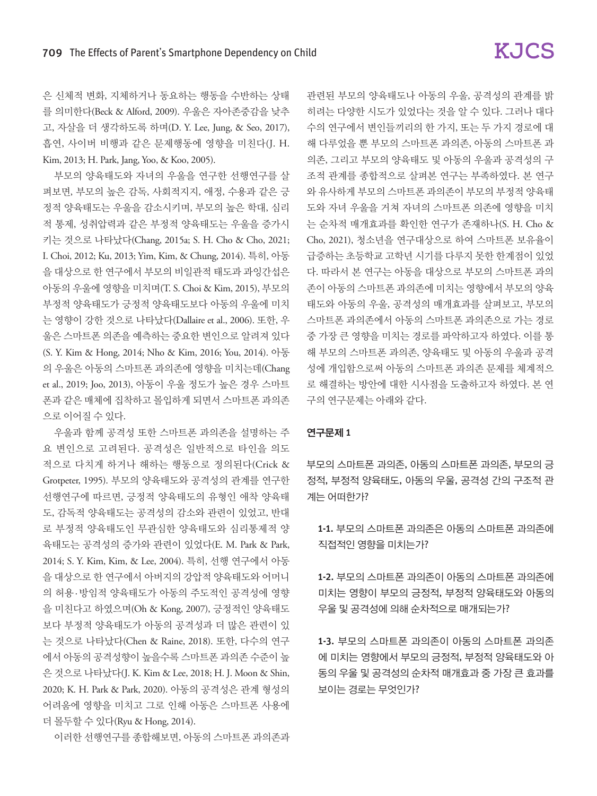은 신체적 변화, 지체하거나 동요하는 행동을 수반하는 상태 를 의미한다(Beck & Alford, 2009). 우울은 자아존중감을 낮추 고, 자살을 더 생각하도록 하며(D. Y. Lee, Jung, & Seo, 2017), 흡연, 사이버 비행과 같은 문제행동에 영향을 미친다(J. H. Kim, 2013; H. Park, Jang, Yoo, & Koo, 2005).

부모의 양육태도와 자녀의 우울을 연구한 선행연구를 살 펴보면, 부모의 높은 감독, 사회적지지, 애정, 수용과 같은 긍 정적 양육태도는 우울을 감소시키며, 부모의 높은 학대, 심리 적 통제, 성취압력과 같은 부정적 양육태도는 우울을 증가시 키는 것으로 나타났다(Chang, 2015a; S. H. Cho & Cho, 2021; I. Choi, 2012; Ku, 2013; Yim, Kim, & Chung, 2014). 특히, 아동 을 대상으로 한 연구에서 부모의 비일관적 태도과 과잉간섭은 아동의 우울에 영향을 미치며(T. S. Choi & Kim, 2015), 부모의 부정적 양육태도가 긍정적 양육태도보다 아동의 우울에 미치 는 영향이 강한 것으로 나타났다(Dallaire et al., 2006). 또한, 우 울은 스마트폰 의존을 예측하는 중요한 변인으로 알려져 있다 (S. Y. Kim & Hong, 2014; Nho & Kim, 2016; You, 2014). 아동 의 우울은 아동의 스마트폰 과의존에 영향을 미치는데(Chang et al., 2019; Joo, 2013), 아동이 우울 정도가 높은 경우 스마트 폰과 같은 매체에 집착하고 몰입하게 되면서 스마트폰 과의존 으로 이어질 수 있다.

우울과 함께 공격성 또한 스마트폰 과의존을 설명하는 주 요 변인으로 고려된다. 공격성은 일반적으로 타인을 의도 적으로 다치게 하거나 해하는 행동으로 정의된다(Crick & Grotpeter, 1995). 부모의 양육태도와 공격성의 관계를 연구한 선행연구에 따르면, 긍정적 양육태도의 유형인 애착 양육태 도, 감독적 양육태도는 공격성의 감소와 관련이 있었고, 반대 로 부정적 양육태도인 무관심한 양육태도와 심리통제적 양 육태도는 공격성의 증가와 관련이 있었다(E. M. Park & Park, 2014; S. Y. Kim, Kim, & Lee, 2004). 특히, 선행 연구에서 아동 을 대상으로 한 연구에서 아버지의 강압적 양육태도와 어머니 의 허용 · 방임적 양육태도가 아동의 주도적인 공격성에 영향 을 미친다고 하였으며(Oh & Kong, 2007), 긍정적인 양육태도 보다 부정적 양육태도가 아동의 공격성과 더 많은 관련이 있 는 것으로 나타났다(Chen & Raine, 2018). 또한, 다수의 연구 에서 아동의 공격성향이 높을수록 스마트폰 과의존 수준이 높 은 것으로 나타났다(J. K. Kim & Lee, 2018; H. J. Moon & Shin, 2020; K. H. Park & Park, 2020). 아동의 공격성은 관계 형성의 어려움에 영향을 미치고 그로 인해 아동은 스마트폰 사용에 더 몰두할 수 있다(Ryu & Hong, 2014).

이러한 선행연구를 종합해보면, 아동의 스마트폰 과의존과

관련된 부모의 양육태도나 아동의 우울, 공격성의 관계를 밝 히려는 다양한 시도가 있었다는 것을 알 수 있다. 그러나 대다 수의 연구에서 변인들끼리의 한 가지, 또는 두 가지 경로에 대 해 다루었을 뿐 부모의 스마트폰 과의존, 아동의 스마트폰 과 의존, 그리고 부모의 양육태도 및 아동의 우울과 공격성의 구 조적 관계를 종합적으로 살펴본 연구는 부족하였다. 본 연구 와 유사하게 부모의 스마트폰 과의존이 부모의 부정적 양육태 도와 자녀 우울을 거쳐 자녀의 스마트폰 의존에 영향을 미치 는 순차적 매개효과를 확인한 연구가 존재하나(S. H. Cho & Cho, 2021), 청소년을 연구대상으로 하여 스마트폰 보유율이 급증하는 초등학교 고학년 시기를 다루지 못한 한계점이 있었 다. 따라서 본 연구는 아동을 대상으로 부모의 스마트폰 과의 존이 아동의 스마트폰 과의존에 미치는 영향에서 부모의 양육 태도와 아동의 우울, 공격성의 매개효과를 살펴보고, 부모의 스마트폰 과의존에서 아동의 스마트폰 과의존으로 가는 경로 중 가장 큰 영향을 미치는 경로를 파악하고자 하였다. 이를 통 해 부모의 스마트폰 과의존, 양육태도 및 아동의 우울과 공격 성에 개입함으로써 아동의 스마트폰 과의존 문제를 체계적으 로 해결하는 방안에 대한 시사점을 도출하고자 하였다. 본 연 구의 연구문제는 아래와 같다.

#### 연구문제 1

부모의 스마트폰 과의존, 아동의 스마트폰 과의존, 부모의 긍 정적, 부정적 양육태도, 아동의 우울, 공격성 간의 구조적 관 계는 어떠한가?

1-1. 부모의 스마트폰 과의존은 아동의 스마트폰 과의존에 직접적인 영향을 미치는가?

1-2. 부모의 스마트폰 과의존이 아동의 스마트폰 과의존에 미치는 영향이 부모의 긍정적, 부정적 양육태도와 아동의 우울 및 공격성에 의해 순차적으로 매개되는가?

1-3. 부모의 스마트폰 과의존이 아동의 스마트폰 과의존 에 미치는 영향에서 부모의 긍정적, 부정적 양육태도와 아 동의 우울 및 공격성의 순차적 매개효과 중 가장 큰 효과를 보이는 경로는 무엇인가?

# **KJCS**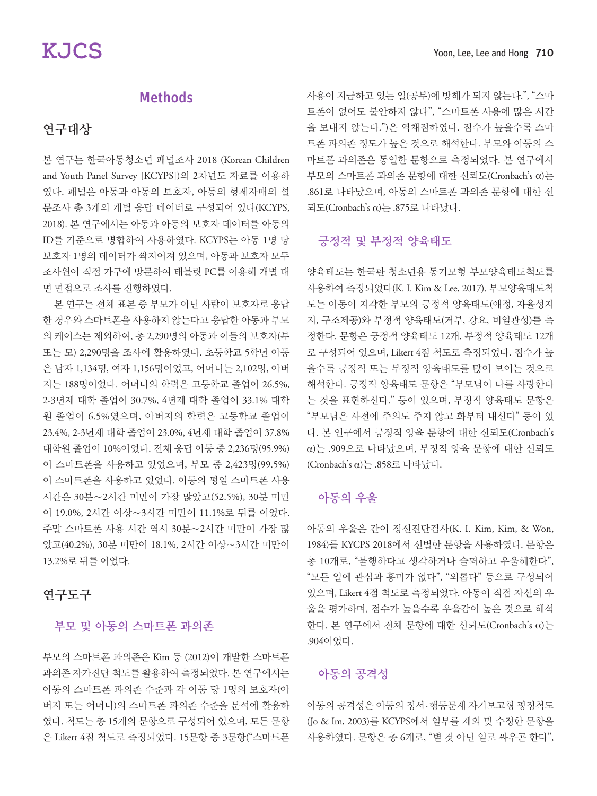## Methods

### 연구대상

본 연구는 한국아동청소년 패널조사 2018 (Korean Children and Youth Panel Survey [KCYPS])의 2차년도 자료를 이용하 였다. 패널은 아동과 아동의 보호자, 아동의 형제자매의 설 문조사 총 3개의 개별 응답 데이터로 구성되어 있다(KCYPS, 2018). 본 연구에서는 아동과 아동의 보호자 데이터를 아동의 ID를 기준으로 병합하여 사용하였다. KCYPS는 아동 1명 당 보호자 1명의 데이터가 짝지어져 있으며, 아동과 보호자 모두 조사원이 직접 가구에 방문하여 태블릿 PC를 이용해 개별 대 면 면접으로 조사를 진행하였다.

본 연구는 전체 표본 중 부모가 아닌 사람이 보호자로 응답 한 경우와 스마트폰을 사용하지 않는다고 응답한 아동과 부모 의 케이스는 제외하여, 총 2,290명의 아동과 이들의 보호자(부 또는 모) 2,290명을 조사에 활용하였다. 초등학교 5학년 아동 은 남자 1,134명, 여자 1,156명이었고, 어머니는 2,102명, 아버 지는 188명이었다. 어머니의 학력은 고등학교 졸업이 26.5%, 2-3년제 대학 졸업이 30.7%, 4년제 대학 졸업이 33.1% 대학 원 졸업이 6.5%였으며, 아버지의 학력은 고등학교 졸업이 23.4%, 2-3년제 대학 졸업이 23.0%, 4년제 대학 졸업이 37.8% 대학원 졸업이 10%이었다. 전체 응답 아동 중 2,236명(95.9%) 이 스마트폰을 사용하고 있었으며, 부모 중 2,423명(99.5%) 이 스마트폰을 사용하고 있었다. 아동의 평일 스마트폰 사용 시간은 30분∼2시간 미만이 가장 많았고(52.5%), 30분 미만 이 19.0%, 2시간 이상∼3시간 미만이 11.1%로 뒤를 이었다. 주말 스마트폰 사용 시간 역시 30분∼2시간 미만이 가장 많 았고(40.2%), 30분 미만이 18.1%, 2시간 이상∼3시간 미만이 13.2%로 뒤를 이었다.

### 연구도구

#### 부모 및 아동의 스마트폰 과의존

부모의 스마트폰 과의존은 Kim 등 (2012)이 개발한 스마트폰 과의존 자가진단 척도를 활용하여 측정되었다. 본 연구에서는 아동의 스마트폰 과의존 수준과 각 아동 당 1명의 보호자(아 버지 또는 어머니)의 스마트폰 과의존 수준을 분석에 활용하 였다. 척도는 총 15개의 문항으로 구성되어 있으며, 모든 문항 은 Likert 4점 척도로 측정되었다. 15문항 중 3문항("스마트폰

사용이 지금하고 있는 일(공부)에 방해가 되지 않는다.", "스마 트폰이 없어도 불안하지 않다", "스마트폰 사용에 많은 시간 을 보내지 않는다.")은 역채점하였다. 점수가 높을수록 스마 트폰 과의존 정도가 높은 것으로 해석한다. 부모와 아동의 스 마트폰 과의존은 동일한 문항으로 측정되었다. 본 연구에서 부모의 스마트폰 과의존 문항에 대한 신뢰도(Cronbach's α)는 .861로 나타났으며, 아동의 스마트폰 과의존 문항에 대한 신 뢰도(Cronbach's α)는 .875로 나타났다.

#### 긍정적 및 부정적 양육태도

양육태도는 한국판 청소년용 동기모형 부모양육태도척도를 사용하여 측정되었다(K. I. Kim & Lee, 2017). 부모양육태도척 도는 아동이 지각한 부모의 긍정적 양육태도(애정, 자율성지 지, 구조제공)와 부정적 양육태도(거부, 강요, 비일관성)를 측 정한다. 문항은 긍정적 양육태도 12개, 부정적 양육태도 12개 로 구성되어 있으며, Likert 4점 척도로 측정되었다. 점수가 높 을수록 긍정적 또는 부정적 양육태도를 많이 보이는 것으로 해석한다. 긍정적 양육태도 문항은 "부모님이 나를 사랑한다 는 것을 표현하신다." 등이 있으며, 부정적 양육태도 문항은 "부모님은 사전에 주의도 주지 않고 화부터 내신다" 등이 있 다. 본 연구에서 긍정적 양육 문항에 대한 신뢰도(Cronbach's α)는 .909으로 나타났으며, 부정적 양육 문항에 대한 신뢰도 (Cronbach's α)는 .858로 나타났다.

### 아동의 우울

아동의 우울은 간이 정신진단검사(K. I. Kim, Kim, & Won, 1984)를 KYCPS 2018에서 선별한 문항을 사용하였다. 문항은 총 10개로, "불행하다고 생각하거나 슬퍼하고 우울해한다", "모든 일에 관심과 흥미가 없다", "외롭다" 등으로 구성되어 있으며, Likert 4점 척도로 측정되었다. 아동이 직접 자신의 우 울을 평가하며, 점수가 높을수록 우울감이 높은 것으로 해석 한다. 본 연구에서 전체 문항에 대한 신뢰도(Cronbach's α)는 .904이었다.

#### 아동의 공격성

아동의 공격성은 아동의 정서 · 행동문제 자기보고형 평정척도 (Jo & Im, 2003)를 KCYPS에서 일부를 제외 및 수정한 문항을 사용하였다. 문항은 총 6개로, "별 것 아닌 일로 싸우곤 한다",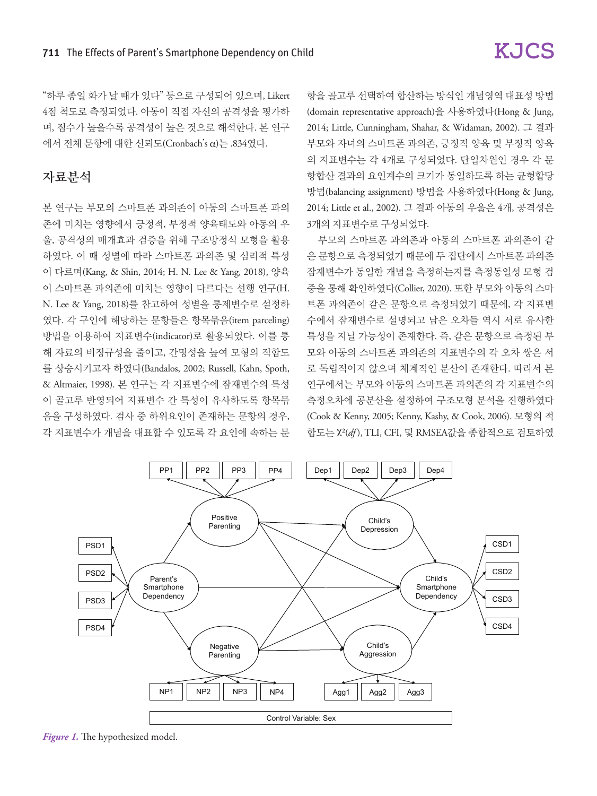"하루 종일 화가 날 때가 있다" 등으로 구성되어 있으며, Likert 4점 척도로 측정되었다. 아동이 직접 자신의 공격성을 평가하 며, 점수가 높을수록 공격성이 높은 것으로 해석한다. 본 연구 에서 전체 문항에 대한 신뢰도(Cronbach's α)는 .834였다.

## 자료분석

본 연구는 부모의 스마트폰 과의존이 아동의 스마트폰 과의 존에 미치는 영향에서 긍정적, 부정적 양육태도와 아동의 우 울, 공격성의 매개효과 검증을 위해 구조방정식 모형을 활용 하였다. 이 때 성별에 따라 스마트폰 과의존 및 심리적 특성 이 다르며(Kang, & Shin, 2014; H. N. Lee & Yang, 2018), 양육 이 스마트폰 과의존에 미치는 영향이 다르다는 선행 연구(H. N. Lee & Yang, 2018)를 참고하여 성별을 통제변수로 설정하 였다. 각 구인에 해당하는 문항들은 항목묶음(item parceling) 방법을 이용하여 지표변수(indicator)로 활용되었다. 이를 통 해 자료의 비정규성을 줄이고, 간명성을 높여 모형의 적합도 를 상승시키고자 하였다(Bandalos, 2002; Russell, Kahn, Spoth, & Altmaier, 1998). 본 연구는 각 지표변수에 잠재변수의 특성 이 골고루 반영되어 지표변수 간 특성이 유사하도록 항목묶 음을 구성하였다. 검사 중 하위요인이 존재하는 문항의 경우, 각 지표변수가 개념을 대표할 수 있도록 각 요인에 속하는 문

항을 골고루 선택하여 합산하는 방식인 개념영역 대표성 방법 (domain representative approach)을 사용하였다(Hong & Jung, 2014; Little, Cunningham, Shahar, & Widaman, 2002). 그 결과 부모와 자녀의 스마트폰 과의존, 긍정적 양육 및 부정적 양육 의 지표변수는 각 4개로 구성되었다. 단일차원인 경우 각 문 항합산 결과의 요인계수의 크기가 동일하도록 하는 균형할당 방법(balancing assignment) 방법을 사용하였다(Hong & Jung, 2014; Little et al., 2002). 그 결과 아동의 우울은 4개, 공격성은 3개의 지표변수로 구성되었다.

부모의 스마트폰 과의존과 아동의 스마트폰 과의존이 같 은 문항으로 측정되었기 때문에 두 집단에서 스마트폰 과의존 잠재변수가 동일한 개념을 측정하는지를 측정동일성 모형 검 증을 통해 확인하였다(Collier, 2020). 또한 부모와 아동의 스마 트폰 과의존이 같은 문항으로 측정되었기 때문에, 각 지표변 수에서 잠재변수로 설명되고 남은 오차들 역시 서로 유사한 특성을 지닐 가능성이 존재한다. 즉, 같은 문항으로 측정된 부 모와 아동의 스마트폰 과의존의 지표변수의 각 오차 쌍은 서 로 독립적이지 않으며 체계적인 분산이 존재한다. 따라서 본 연구에서는 부모와 아동의 스마트폰 과의존의 각 지표변수의 측정오차에 공분산을 설정하여 구조모형 분석을 진행하였다 (Cook & Kenny, 2005; Kenny, Kashy, & Cook, 2006). 모형의 적 합도는 χ²(*df* ), TLI, CFI, 및 RMSEA값을 종합적으로 검토하였



*Figure 1.* The hypothesized model.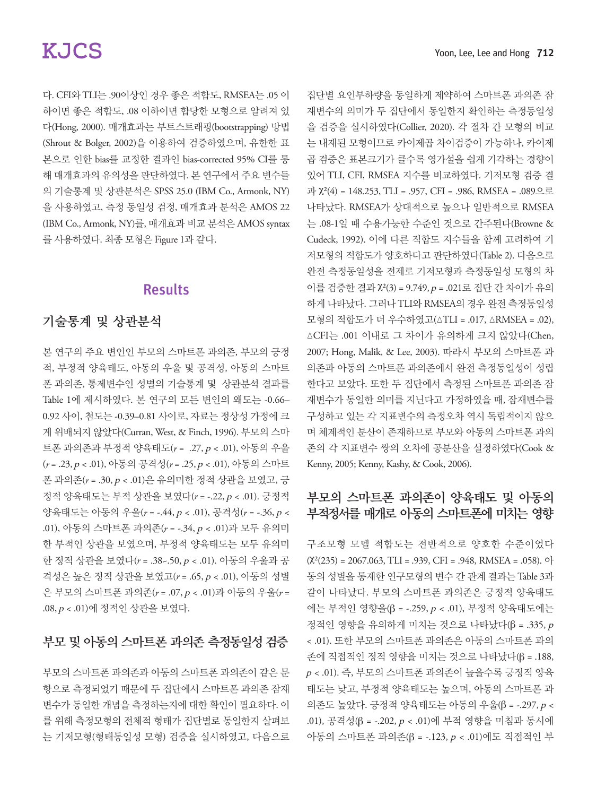다. CFI와 TLI는 .90이상인 경우 좋은 적합도, RMSEA는 .05 이 하이면 좋은 적합도, .08 이하이면 합당한 모형으로 알려져 있 다(Hong, 2000). 매개효과는 부트스트래핑(bootstrapping) 방법 (Shrout & Bolger, 2002)을 이용하여 검증하였으며, 유한한 표 본으로 인한 bias를 교정한 결과인 bias-corrected 95% CI를 통 해 매개효과의 유의성을 판단하였다. 본 연구에서 주요 변수들 의 기술통계 및 상관분석은 SPSS 25.0 (IBM Co., Armonk, NY) 을 사용하였고, 측정 동일성 검정, 매개효과 분석은 AMOS 22 (IBM Co., Armonk, NY)를, 매개효과 비교 분석은 AMOS syntax 를 사용하였다. 최종 모형은 Figure 1과 같다.

## Results

### 기술통계 및 상관분석

본 연구의 주요 변인인 부모의 스마트폰 과의존, 부모의 긍정 적, 부정적 양육태도, 아동의 우울 및 공격성, 아동의 스마트 폰 과의존, 통제변수인 성별의 기술통계 및 상관분석 결과를 Table 1에 제시하였다. 본 연구의 모든 변인의 왜도는 -0.66– 0.92 사이, 첨도는 -0.39–0.81 사이로, 자료는 정상성 가정에 크 게 위배되지 않았다(Curran, West, & Finch, 1996). 부모의 스마 트폰 과의존과 부정적 양육태도(*r* = .27, p < .01), 아동의 우울 (*r* = .23, p < .01), 아동의 공격성(*r* = .25, p < .01), 아동의 스마트 폰 과의존(*r* = .30, p < .01)은 유의미한 정적 상관을 보였고, 긍 정적 양육태도는 부적 상관을 보였다(*r* = -.22, p < .01). 긍정적 양육태도는 아동의 우울(*r* = -.44, p < .01), 공격성(*r* = -.36, p < .01), 아동의 스마트폰 과의존(*r* = -.34, p < .01)과 모두 유의미 한 부적인 상관을 보였으며, 부정적 양육태도는 모두 유의미 한 정적 상관을 보였다(*r* = .38~.50, p < .01). 아동의 우울과 공 격성은 높은 정적 상관을 보였고(*r* = .65, p < .01), 아동의 성별 은 부모의 스마트폰 과의존(*r* = .07, p < .01)과 아동의 우울(*r* = .08, p < .01)에 정적인 상관을 보였다.

### 부모 및 아동의 스마트폰 과의존 측정동일성 검증

부모의 스마트폰 과의존과 아동의 스마트폰 과의존이 같은 문 항으로 측정되었기 때문에 두 집단에서 스마트폰 과의존 잠재 변수가 동일한 개념을 측정하는지에 대한 확인이 필요하다. 이 를 위해 측정모형의 전체적 형태가 집단별로 동일한지 살펴보 는 기저모형(형태동일성 모형) 검증을 실시하였고, 다음으로 집단별 요인부하량을 동일하게 제약하여 스마트폰 과의존 잠 재변수의 의미가 두 집단에서 동일한지 확인하는 측정동일성 을 검증을 실시하였다(Collier, 2020). 각 절차 간 모형의 비교 는 내재된 모형이므로 카이제곱 차이검증이 가능하나, 카이제 곱 검증은 표본크기가 클수록 영가설을 쉽게 기각하는 경향이 있어 TLI, CFI, RMSEA 지수를 비교하였다. 기저모형 검증 결 과  $\chi^2(4) = 148.253$ , TLI = .957, CFI = .986, RMSEA = .089으로 나타났다. RMSEA가 상대적으로 높으나 일반적으로 RMSEA 는 .08-1일 때 수용가능한 수준인 것으로 간주된다(Browne & Cudeck, 1992). 이에 다른 적합도 지수들을 함께 고려하여 기 저모형의 적합도가 양호하다고 판단하였다(Table 2). 다음으로 완전 측정동일성을 전제로 기저모형과 측정동일성 모형의 차 이를 검증한 결과 χ²(3) = 9.749, p = .021로 집단 간 차이가 유의 하게 나타났다. 그러나 TLI와 RMSEA의 경우 완전 측정동일성 모형의 적합도가 더 우수하였고(△TLI = .017, △RMSEA = .02), △CFI는 .001 이내로 그 차이가 유의하게 크지 않았다(Chen, 2007; Hong, Malik, & Lee, 2003). 따라서 부모의 스마트폰 과 의존과 아동의 스마트폰 과의존에서 완전 측정동일성이 성립 한다고 보았다. 또한 두 집단에서 측정된 스마트폰 과의존 잠 재변수가 동일한 의미를 지닌다고 가정하였을 때, 잠재변수를 구성하고 있는 각 지표변수의 측정오차 역시 독립적이지 않으 며 체계적인 분산이 존재하므로 부모와 아동의 스마트폰 과의 존의 각 지표변수 쌍의 오차에 공분산을 설정하였다(Cook & Kenny, 2005; Kenny, Kashy, & Cook, 2006).

### 부모의 스마트폰 과의존이 양육태도 및 아동의 부적정서를 매개로 아동의 스마트폰에 미치는 영향

구조모형 모델 적합도는 전반적으로 양호한 수준이었다  $(\chi^2(235) = 2067.063, TLI = .939, CFI = .948, RMSEA = .058).$  아 동의 성별을 통제한 연구모형의 변수 간 관계 결과는 Table 3과 같이 나타났다. 부모의 스마트폰 과의존은 긍정적 양육태도 에는 부적인 영향을(β = -.259, p < .01), 부정적 양육태도에는 정적인 영향을 유의하게 미치는 것으로 나타났다(β = .335, <sup>p</sup> < .01). 또한 부모의 스마트폰 과의존은 아동의 스마트폰 과의 존에 직접적인 정적 영향을 미치는 것으로 나타났다(β = .188, <sup>p</sup> < .01). 즉, 부모의 스마트폰 과의존이 높을수록 긍정적 양육 태도는 낮고, 부정적 양육태도는 높으며, 아동의 스마트폰 과 의존도 높았다. 긍정적 양육태도는 아동의 우울(β = -.297, p < .01), 공격성(β = -.202,  $p < .01$ )에 부적 영향을 미침과 동시에 아동의 스마트폰 과의존(β = -.123, p < .01)에도 직접적인 부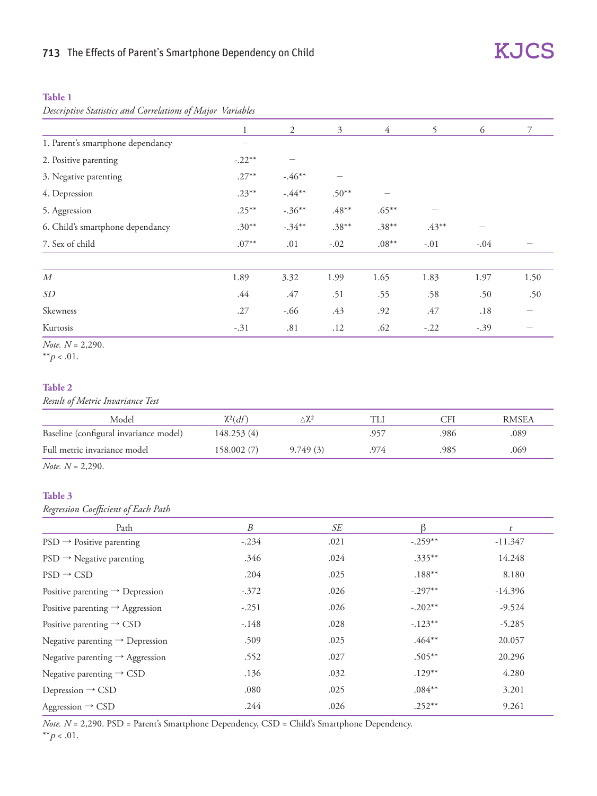#### **Table 1**

*Descriptive Statistics and Correlations of Major Variables*

|                                   | $\mathbf{1}$ | 2         | 3        | $\overline{4}$ | 5        | 6      | $\overline{7}$ |
|-----------------------------------|--------------|-----------|----------|----------------|----------|--------|----------------|
| 1. Parent's smartphone dependancy |              |           |          |                |          |        |                |
| 2. Positive parenting             | $-.22**$     |           |          |                |          |        |                |
| 3. Negative parenting             | $.27***$     | $-.46**$  |          |                |          |        |                |
| 4. Depression                     | $.23***$     | $-.44**$  | $.50**$  |                |          |        |                |
| 5. Aggression                     | $.25***$     | $-.36***$ | $.48***$ | $.65***$       |          |        |                |
| 6. Child's smartphone dependancy  | $.30**$      | $-.34**$  | $.38***$ | $.38***$       | $.43***$ |        |                |
| 7. Sex of child                   | $.07***$     | .01       | $-.02$   | $.08***$       | $-.01$   | $-.04$ |                |
| $\boldsymbol{M}$                  | 1.89         | 3.32      | 1.99     | 1.65           | 1.83     | 1.97   | 1.50           |
| SD                                | .44          | .47       | .51      | .55            | .58      | .50    | .50            |
| Skewness                          | .27          | $-.66$    | .43      | .92            | .47      | .18    |                |
| Kurtosis                          | $-.31$       | .81       | .12      | .62            | $-.22$   | $-.39$ |                |
| <i>Note.</i> $N = 2,290$ .        |              |           |          |                |          |        |                |

**KJCS** 

\*\* $p < .01$ .

#### **Table 2**

*Result of Metric Invariance Test*

| Model                                  | $\chi^2(df)$ |          |     | `FI  | <b>RMSEA</b> |
|----------------------------------------|--------------|----------|-----|------|--------------|
| Baseline (configural invariance model) | 148.253 (4)  |          |     | 986  | .089         |
| Full metric invariance model           | 158,002(7)   | 9.749(3) | 974 | 985. | .069         |

*Note. N* = 2,290.

#### **Table 3**

*Regression Coefficient of Each Path*

| Path                                        | B       | SE   | ß         | t         |
|---------------------------------------------|---------|------|-----------|-----------|
| $PSD \rightarrow$ Positive parenting        | $-.234$ | .021 | $-.259**$ | $-11.347$ |
| $PSD \rightarrow Negative$ parenting        | .346    | .024 | $.335***$ | 14.248    |
| $PSD \rightarrow CSD$                       | .204    | .025 | $.188***$ | 8.180     |
| Positive parenting $\rightarrow$ Depression | $-.372$ | .026 | $-.297**$ | $-14.396$ |
| Positive parenting $\rightarrow$ Aggression | $-.251$ | .026 | $-.202**$ | $-9.524$  |
| Positive parenting $\rightarrow$ CSD        | $-.148$ | .028 | $-.123**$ | $-5.285$  |
| Negative parenting $\rightarrow$ Depression | .509    | .025 | $.464**$  | 20.057    |
| Negative parenting $\rightarrow$ Aggression | .552    | .027 | $.505***$ | 20.296    |
| Negative parenting $\rightarrow$ CSD        | .136    | .032 | $.129**$  | 4.280     |
| Depression $\rightarrow$ CSD                | .080    | .025 | $.084**$  | 3.201     |
| Aggression $\rightarrow$ CSD                | .244    | .026 | $.252***$ | 9.261     |

*Note. N* = 2,290. PSD = Parent's Smartphone Dependency, CSD = Child's Smartphone Dependency.  $*$  $p$  < .01.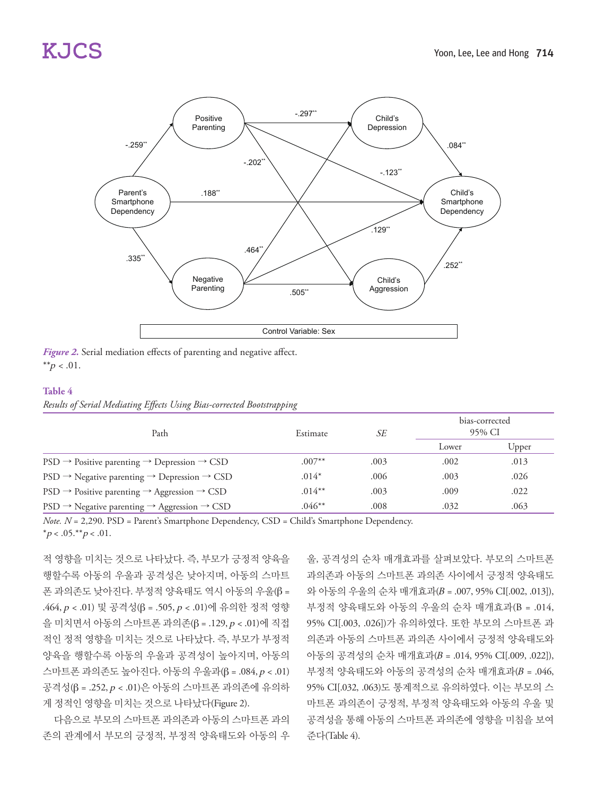

*Figure 2.* Serial mediation effects of parenting and negative affect. \*\* $p < .01$ .

#### **Table 4**

| Results of Serial Mediating Effects Using Bias-corrected Bootstrapping |  |  |  |
|------------------------------------------------------------------------|--|--|--|
|                                                                        |  |  |  |

| Path                                                                            | Estimate  | SE   | bias-corrected<br>95% CI |       |  |
|---------------------------------------------------------------------------------|-----------|------|--------------------------|-------|--|
|                                                                                 |           |      | Lower                    | Upper |  |
| $PSD \rightarrow$ Positive parenting $\rightarrow$ Depression $\rightarrow$ CSD | $.007**$  | .003 | .002                     | .013  |  |
| $PSD \rightarrow$ Negative parenting $\rightarrow$ Depression $\rightarrow$ CSD | $.014*$   | .006 | .003                     | .026  |  |
| $PSD \rightarrow$ Positive parenting $\rightarrow$ Aggression $\rightarrow$ CSD | $.014***$ | .003 | .009                     | .022  |  |
| $PSD \rightarrow$ Negative parenting $\rightarrow$ Aggression $\rightarrow$ CSD | $.046**$  | .008 | .032                     | .063  |  |

*Note. N* = 2,290. PSD = Parent's Smartphone Dependency, CSD = Child's Smartphone Dependency.  $*_{p < .05,**_{p < .01}}$ .

적 영향을 미치는 것으로 나타났다. 즉, 부모가 긍정적 양육을 행할수록 아동의 우울과 공격성은 낮아지며, 아동의 스마트 폰 과의존도 낮아진다. 부정적 양육태도 역시 아동의 우울(β = .464, p < .01) 및 공격성(β = .505, p < .01)에 유의한 정적 영향 을 미치면서 아동의 스마트폰 과의존(β = .129, p < .01)에 직접 적인 정적 영향을 미치는 것으로 나타났다. 즉, 부모가 부정적 양육을 행할수록 아동의 우울과 공격성이 높아지며, 아동의 스마트폰 과의존도 높아진다. 아동의 우울과(β = .084, p < .01) 공격성(β = .252, p < .01)은 아동의 스마트폰 과의존에 유의하 게 정적인 영향을 미치는 것으로 나타났다(Figure 2).

다음으로 부모의 스마트폰 과의존과 아동의 스마트폰 과의 존의 관계에서 부모의 긍정적, 부정적 양육태도와 아동의 우

울, 공격성의 순차 매개효과를 살펴보았다. 부모의 스마트폰 과의존과 아동의 스마트폰 과의존 사이에서 긍정적 양육태도 와 아동의 우울의 순차 매개효과(B = .007, 95% CI[.002, .013]), 부정적 양육태도와 아동의 우울의 순차 매개효과(B = .014, 95% CI[.003, .026])가 유의하였다. 또한 부모의 스마트폰 과 의존과 아동의 스마트폰 과의존 사이에서 긍정적 양육태도와 아동의 공격성의 순차 매개효과(B = .014, 95% CI[.009, .022]), 부정적 양육태도와 아동의 공격성의 순차 매개효과(B = .046, 95% CI[.032, .063)도 통계적으로 유의하였다. 이는 부모의 스 마트폰 과의존이 긍정적, 부정적 양육태도와 아동의 우울 및 공격성을 통해 아동의 스마트폰 과의존에 영향을 미침을 보여 준다(Table 4).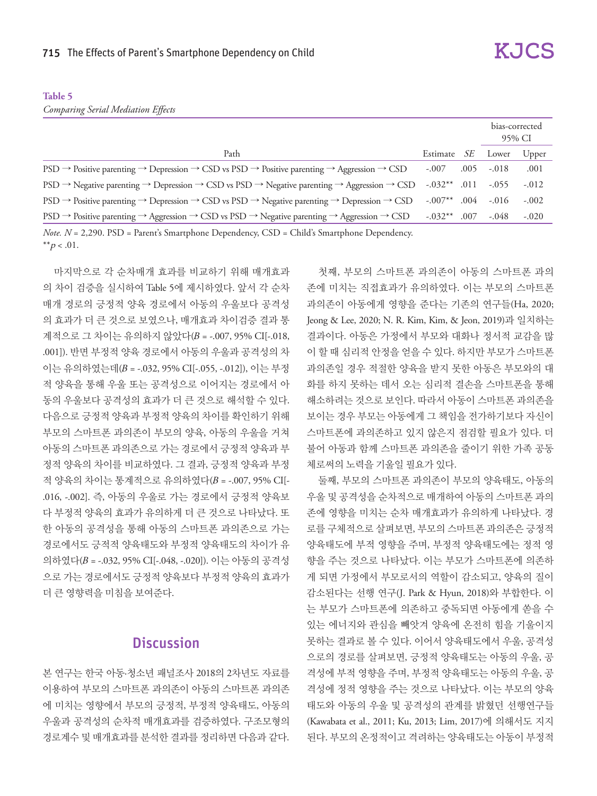## **Table 5**

*Comparing Serial Mediation Effects*

|                                                                                                                    |                 |      |         | bias-corrected<br>95% CI |  |
|--------------------------------------------------------------------------------------------------------------------|-----------------|------|---------|--------------------------|--|
| Path                                                                                                               | Estimate        | -SE  | Lower   | Upper                    |  |
| $PSD \to$ Positive parenting $\to$ Depression $\to$ CSD vs PSD $\to$ Positive parenting $\to$ Aggression $\to$ CSD | $-.007$         | .005 | $-.018$ | .001                     |  |
| $PSD \to Negative$ parenting $\to$ Depression $\to$ CSD vs PSD $\to$ Negative parenting $\to$ Aggression $\to$ CSD | $-.032***$ .011 |      | $-.055$ | $-.012$                  |  |
| $PSD \to$ Positive parenting $\to$ Depression $\to$ CSD vs PSD $\to$ Negative parenting $\to$ Depression $\to$ CSD | $-.007***$ .004 |      | $-.016$ | $-.002$                  |  |
| $PSD \to$ Positive parenting $\to$ Aggression $\to$ CSD vs PSD $\to$ Negative parenting $\to$ Aggression $\to$ CSD | $-.032***$ .007 |      | $-.048$ | $-.020$                  |  |

*Note.*  $N = 2,290$ . PSD = Parent's Smartphone Dependency, CSD = Child's Smartphone Dependency. \*\* $p < .01$ .

마지막으로 각 순차매개 효과를 비교하기 위해 매개효과 의 차이 검증을 실시하여 Table 5에 제시하였다. 앞서 각 순차 매개 경로의 긍정적 양육 경로에서 아동의 우울보다 공격성 의 효과가 더 큰 것으로 보였으나, 매개효과 차이검증 결과 통 계적으로 그 차이는 유의하지 않았다(B = -.007, 95% CI[-.018, .001]). 반면 부정적 양육 경로에서 아동의 우울과 공격성의 차 이는 유의하였는데(B = -.032, 95% CI[-.055, -.012]), 이는 부정 적 양육을 통해 우울 또는 공격성으로 이어지는 경로에서 아 동의 우울보다 공격성의 효과가 더 큰 것으로 해석할 수 있다. 다음으로 긍정적 양육과 부정적 양육의 차이를 확인하기 위해 부모의 스마트폰 과의존이 부모의 양육, 아동의 우울을 거쳐 아동의 스마트폰 과의존으로 가는 경로에서 긍정적 양육과 부 정적 양육의 차이를 비교하였다. 그 결과, 긍정적 양육과 부정 적 양육의 차이는 통계적으로 유의하였다(B = -.007, 95% CI[- .016, -.002]. 즉, 아동의 우울로 가는 경로에서 긍정적 양육보 다 부정적 양육의 효과가 유의하게 더 큰 것으로 나타났다. 또 한 아동의 공격성을 통해 아동의 스마트폰 과의존으로 가는 경로에서도 긍적적 양육태도와 부정적 양육태도의 차이가 유 의하였다(B = -.032, 95% CI[-.048, -.020]). 이는 아동의 공격성 으로 가는 경로에서도 긍정적 양육보다 부정적 양육의 효과가 더 큰 영향력을 미침을 보여준다.

## **Discussion**

본 연구는 한국 아동·청소년 패널조사 2018의 2차년도 자료를 이용하여 부모의 스마트폰 과의존이 아동의 스마트폰 과의존 에 미치는 영향에서 부모의 긍정적, 부정적 양육태도, 아동의 우울과 공격성의 순차적 매개효과를 검증하였다. 구조모형의 경로계수 및 매개효과를 분석한 결과를 정리하면 다음과 같다.

첫째, 부모의 스마트폰 과의존이 아동의 스마트폰 과의 존에 미치는 직접효과가 유의하였다. 이는 부모의 스마트폰 과의존이 아동에게 영향을 준다는 기존의 연구들(Ha, 2020; Jeong & Lee, 2020; N. R. Kim, Kim, & Jeon, 2019)과 일치하는 결과이다. 아동은 가정에서 부모와 대화나 정서적 교감을 많 이 할 때 심리적 안정을 얻을 수 있다. 하지만 부모가 스마트폰 과의존일 경우 적절한 양육을 받지 못한 아동은 부모와의 대 화를 하지 못하는 데서 오는 심리적 결손을 스마트폰을 통해 해소하려는 것으로 보인다. 따라서 아동이 스마트폰 과의존을 보이는 경우 부모는 아동에게 그 책임을 전가하기보다 자신이 스마트폰에 과의존하고 있지 않은지 점검할 필요가 있다. 더 불어 아동과 함께 스마트폰 과의존을 줄이기 위한 가족 공동 체로써의 노력을 기울일 필요가 있다.

둘째, 부모의 스마트폰 과의존이 부모의 양육태도, 아동의 우울 및 공격성을 순차적으로 매개하여 아동의 스마트폰 과의 존에 영향을 미치는 순차 매개효과가 유의하게 나타났다. 경 로를 구체적으로 살펴보면, 부모의 스마트폰 과의존은 긍정적 양육태도에 부적 영향을 주며, 부정적 양육태도에는 정적 영 향을 주는 것으로 나타났다. 이는 부모가 스마트폰에 의존하 게 되면 가정에서 부모로서의 역할이 감소되고, 양육의 질이 감소된다는 선행 연구(J. Park & Hyun, 2018)와 부합한다. 이 는 부모가 스마트폰에 의존하고 중독되면 아동에게 쏟을 수 있는 에너지와 관심을 빼앗겨 양육에 온전히 힘을 기울이지 못하는 결과로 볼 수 있다. 이어서 양육태도에서 우울, 공격성 으로의 경로를 살펴보면, 긍정적 양육태도는 아동의 우울, 공 격성에 부적 영향을 주며, 부정적 양육태도는 아동의 우울, 공 격성에 정적 영향을 주는 것으로 나타났다. 이는 부모의 양육 태도와 아동의 우울 및 공격성의 관계를 밝혔던 선행연구들 (Kawabata et al., 2011; Ku, 2013; Lim, 2017)에 의해서도 지지 된다. 부모의 온정적이고 격려하는 양육태도는 아동이 부정적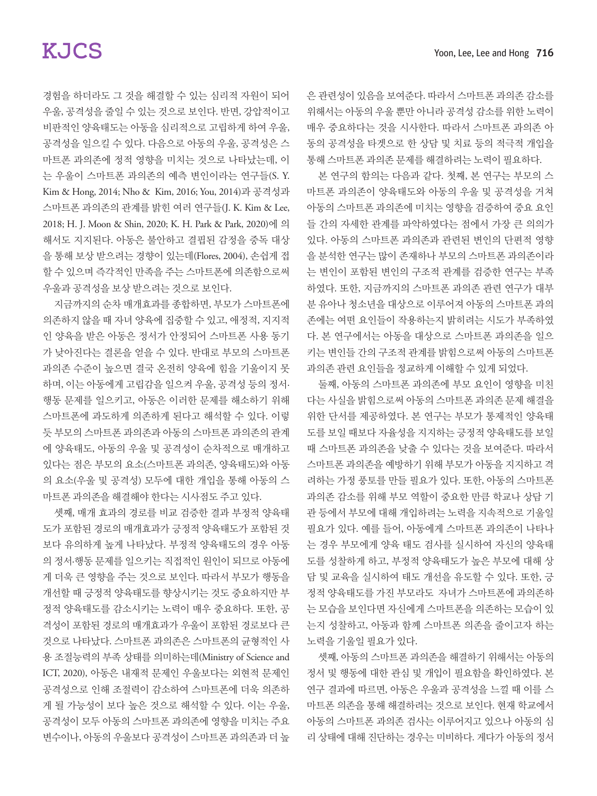경험을 하더라도 그 것을 해결할 수 있는 심리적 자원이 되어 우울, 공격성을 줄일 수 있는 것으로 보인다. 반면, 강압적이고 비판적인 양육태도는 아동을 심리적으로 고립하게 하여 우울, 공격성을 일으킬 수 있다. 다음으로 아동의 우울, 공격성은 스 마트폰 과의존에 정적 영향을 미치는 것으로 나타났는데, 이 는 우울이 스마트폰 과의존의 예측 변인이라는 연구들(S. Y. Kim & Hong, 2014; Nho & Kim, 2016; You, 2014)과 공격성과 스마트폰 과의존의 관계를 밝힌 여러 연구들(J. K. Kim & Lee, 2018; H. J. Moon & Shin, 2020; K. H. Park & Park, 2020)에 의 해서도 지지된다. 아동은 불안하고 결핍된 감정을 중독 대상 을 통해 보상 받으려는 경향이 있는데(Flores, 2004), 손쉽게 접 할 수 있으며 즉각적인 만족을 주는 스마트폰에 의존함으로써 우울과 공격성을 보상 받으려는 것으로 보인다.

지금까지의 순차 매개효과를 종합하면, 부모가 스마트폰에 의존하지 않을 때 자녀 양육에 집중할 수 있고, 애정적, 지지적 인 양육을 받은 아동은 정서가 안정되어 스마트폰 사용 동기 가 낮아진다는 결론을 얻을 수 있다. 반대로 부모의 스마트폰 과의존 수준이 높으면 결국 온전히 양육에 힘을 기울이지 못 하며, 이는 아동에게 고립감을 일으켜 우울, 공격성 등의 정서· 행동 문제를 일으키고, 아동은 이러한 문제를 해소하기 위해 스마트폰에 과도하게 의존하게 된다고 해석할 수 있다. 이렇 듯 부모의 스마트폰 과의존과 아동의 스마트폰 과의존의 관계 에 양육태도, 아동의 우울 및 공격성이 순차적으로 매개하고 있다는 점은 부모의 요소(스마트폰 과의존, 양육태도)와 아동 의 요소(우울 및 공격성) 모두에 대한 개입을 통해 아동의 스 마트폰 과의존을 해결해야 한다는 시사점도 주고 있다.

셋째, 매개 효과의 경로를 비교 검증한 결과 부정적 양육태 도가 포함된 경로의 매개효과가 긍정적 양육태도가 포함된 것 보다 유의하게 높게 나타났다. 부정적 양육태도의 경우 아동 의 정서·행동 문제를 일으키는 직접적인 원인이 되므로 아동에 게 더욱 큰 영향을 주는 것으로 보인다. 따라서 부모가 행동을 개선할 때 긍정적 양육태도를 향상시키는 것도 중요하지만 부 정적 양육태도를 감소시키는 노력이 매우 중요하다. 또한, 공 격성이 포함된 경로의 매개효과가 우울이 포함된 경로보다 큰 것으로 나타났다. 스마트폰 과의존은 스마트폰의 균형적인 사 용 조절능력의 부족 상태를 의미하는데(Ministry of Science and ICT, 2020), 아동은 내재적 문제인 우울보다는 외현적 문제인 공격성으로 인해 조절력이 감소하여 스마트폰에 더욱 의존하 게 될 가능성이 보다 높은 것으로 해석할 수 있다. 이는 우울, 공격성이 모두 아동의 스마트폰 과의존에 영향을 미치는 주요 변수이나, 아동의 우울보다 공격성이 스마트폰 과의존과 더 높

은 관련성이 있음을 보여준다. 따라서 스마트폰 과의존 감소를 위해서는 아동의 우울 뿐만 아니라 공격성 감소를 위한 노력이 매우 중요하다는 것을 시사한다. 따라서 스마트폰 과의존 아 동의 공격성을 타겟으로 한 상담 및 치료 등의 적극적 개입을 통해 스마트폰 과의존 문제를 해결하려는 노력이 필요하다.

본 연구의 함의는 다음과 같다. 첫째, 본 연구는 부모의 스 마트폰 과의존이 양육태도와 아동의 우울 및 공격성을 거쳐 아동의 스마트폰 과의존에 미치는 영향을 검증하여 중요 요인 들 간의 자세한 관계를 파악하였다는 점에서 가장 큰 의의가 있다. 아동의 스마트폰 과의존과 관련된 변인의 단편적 영향 을 분석한 연구는 많이 존재하나 부모의 스마트폰 과의존이라 는 변인이 포함된 변인의 구조적 관계를 검증한 연구는 부족 하였다. 또한, 지금까지의 스마트폰 과의존 관련 연구가 대부 분 유아나 청소년을 대상으로 이루어져 아동의 스마트폰 과의 존에는 여떤 요인들이 작용하는지 밝히려는 시도가 부족하였 다. 본 연구에서는 아동을 대상으로 스마트폰 과의존을 일으 키는 변인들 간의 구조적 관계를 밝힘으로써 아동의 스마트폰 과의존 관련 요인들을 정교하게 이해할 수 있게 되었다.

둘째, 아동의 스마트폰 과의존에 부모 요인이 영향을 미친 다는 사실을 밝힘으로써 아동의 스마트폰 과의존 문제 해결을 위한 단서를 제공하였다. 본 연구는 부모가 통제적인 양육태 도를 보일 때보다 자율성을 지지하는 긍정적 양육태도를 보일 때 스마트폰 과의존을 낮출 수 있다는 것을 보여준다. 따라서 스마트폰 과의존을 예방하기 위해 부모가 아동을 지지하고 격 려하는 가정 풍토를 만들 필요가 있다. 또한, 아동의 스마트폰 과의존 감소를 위해 부모 역할이 중요한 만큼 학교나 상담 기 관 등에서 부모에 대해 개입하려는 노력을 지속적으로 기울일 필요가 있다. 예를 들어, 아동에게 스마트폰 과의존이 나타나 는 경우 부모에게 양육 태도 검사를 실시하여 자신의 양육태 도를 성찰하게 하고, 부정적 양육태도가 높은 부모에 대해 상 담 및 교육을 실시하여 태도 개선을 유도할 수 있다. 또한, 긍 정적 양육태도를 가진 부모라도 자녀가 스마트폰에 과의존하 는 모습을 보인다면 자신에게 스마트폰을 의존하는 모습이 있 는지 성찰하고, 아동과 함께 스마트폰 의존을 줄이고자 하는 노력을 기울일 필요가 있다.

셋째, 아동의 스마트폰 과의존을 해결하기 위해서는 아동의 정서 및 행동에 대한 관심 및 개입이 필요함을 확인하였다. 본 연구 결과에 따르면, 아동은 우울과 공격성을 느낄 때 이를 스 마트폰 의존을 통해 해결하려는 것으로 보인다. 현재 학교에서 아동의 스마트폰 과의존 검사는 이루어지고 있으나 아동의 심 리 상태에 대해 진단하는 경우는 미비하다. 게다가 아동의 정서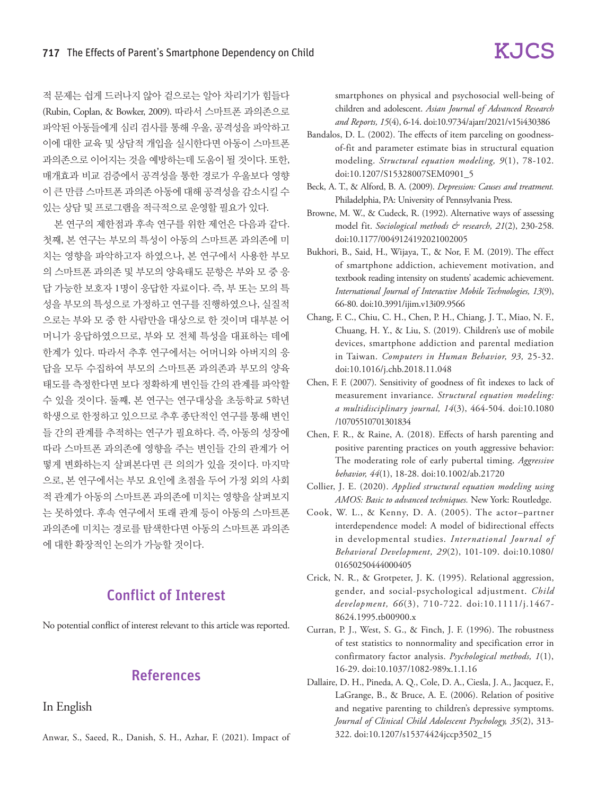적 문제는 쉽게 드러나지 않아 겉으로는 알아 차리기가 힘들다 (Rubin, Coplan, & Bowker, 2009). 따라서 스마트폰 과의존으로 파악된 아동들에게 심리 검사를 통해 우울, 공격성을 파악하고 이에 대한 교육 및 상담적 개입을 실시한다면 아동이 스마트폰 과의존으로 이어지는 것을 예방하는데 도움이 될 것이다. 또한, 매개효과 비교 검증에서 공격성을 통한 경로가 우울보다 영향 이 큰 만큼 스마트폰 과의존 아동에 대해 공격성을 감소시킬 수 있는 상담 및 프로그램을 적극적으로 운영할 필요가 있다.

본 연구의 제한점과 후속 연구를 위한 제언은 다음과 같다. 첫째, 본 연구는 부모의 특성이 아동의 스마트폰 과의존에 미 치는 영향을 파악하고자 하였으나, 본 연구에서 사용한 부모 의 스마트폰 과의존 및 부모의 양육태도 문항은 부와 모 중 응 답 가능한 보호자 1명이 응답한 자료이다. 즉, 부 또는 모의 특 성을 부모의 특성으로 가정하고 연구를 진행하였으나, 실질적 으로는 부와 모 중 한 사람만을 대상으로 한 것이며 대부분 어 머니가 응답하였으므로, 부와 모 전체 특성을 대표하는 데에 한계가 있다. 따라서 추후 연구에서는 어머니와 아버지의 응 답을 모두 수집하여 부모의 스마트폰 과의존과 부모의 양육 태도를 측정한다면 보다 정확하게 변인들 간의 관계를 파악할 수 있을 것이다. 둘째, 본 연구는 연구대상을 초등학교 5학년 학생으로 한정하고 있으므로 추후 종단적인 연구를 통해 변인 들 간의 관계를 추적하는 연구가 필요하다. 즉, 아동의 성장에 따라 스마트폰 과의존에 영향을 주는 변인들 간의 관계가 어 떻게 변화하는지 살펴본다면 큰 의의가 있을 것이다. 마지막 으로, 본 연구에서는 부모 요인에 초점을 두어 가정 외의 사회 적 관계가 아동의 스마트폰 과의존에 미치는 영향을 살펴보지 는 못하였다. 후속 연구에서 또래 관계 등이 아동의 스마트폰 과의존에 미치는 경로를 탐색한다면 아동의 스마트폰 과의존 에 대한 확장적인 논의가 가능할 것이다.

## Conflict of Interest

No potential conflict of interest relevant to this article was reported.

# References

In English

Anwar, S., Saeed, R., Danish, S. H., Azhar, F. (2021). Impact of

smartphones on physical and psychosocial well-being of children and adolescent. *Asian Journal of Advanced Research and Reports, 15*(4), 6-14. doi:10.9734/ajarr/2021/v15i430386

- Bandalos, D. L. (2002). The effects of item parceling on goodnessof-fit and parameter estimate bias in structural equation modeling. *Structural equation modeling, 9*(1), 78-102. doi:10.1207/S15328007SEM0901\_5
- Beck, A. T., & Alford, B. A. (2009). *Depression: Causes and treatment.* Philadelphia, PA: University of Pennsylvania Press.
- Browne, M. W., & Cudeck, R. (1992). Alternative ways of assessing model fit. *Sociological methods & research, 21*(2), 230-258. doi:10.1177/0049124192021002005
- Bukhori, B., Said, H., Wijaya, T., & Nor, F. M. (2019). The effect of smartphone addiction, achievement motivation, and textbook reading intensity on students' academic achievement. *International Journal of Interactive Mobile Technologies, 13*(9), 66-80. doi:10.3991/ijim.v13i09.9566
- Chang, F. C., Chiu, C. H., Chen, P. H., Chiang, J. T., Miao, N. F., Chuang, H. Y., & Liu, S. (2019). Children's use of mobile devices, smartphone addiction and parental mediation in Taiwan. *Computers in Human Behavior, 93,* 25-32. doi:10.1016/j.chb.2018.11.048
- Chen, F. F. (2007). Sensitivity of goodness of fit indexes to lack of measurement invariance. *Structural equation modeling: a multidisciplinary journal, 14*(3), 464-504. doi:10.1080 /10705510701301834
- Chen, F. R., & Raine, A. (2018). Effects of harsh parenting and positive parenting practices on youth aggressive behavior: The moderating role of early pubertal timing. *Aggressive behavior, 44*(1), 18-28. doi:10.1002/ab.21720
- Collier, J. E. (2020). *Applied structural equation modeling using AMOS: Basic to advanced techniques.* New York: Routledge.
- Cook, W. L., & Kenny, D. A. (2005). The actor–partner interdependence model: A model of bidirectional effects in developmental studies. *International Journal of Behavioral Development, 29*(2), 101-109. doi:10.1080/ 01650250444000405
- Crick, N. R., & Grotpeter, J. K. (1995). Relational aggression, gender, and social‐psychological adjustment. *Child development, 66*(3), 710-722. doi:10.1111/j.1467- 8624.1995.tb00900.x
- Curran, P. J., West, S. G., & Finch, J. F. (1996). The robustness of test statistics to nonnormality and specification error in confirmatory factor analysis. *Psychological methods, 1*(1), 16-29. doi:10.1037/1082-989x.1.1.16
- Dallaire, D. H., Pineda, A. Q., Cole, D. A., Ciesla, J. A., Jacquez, F., LaGrange, B., & Bruce, A. E. (2006). Relation of positive and negative parenting to children's depressive symptoms. *Journal of Clinical Child Adolescent Psychology, 35*(2), 313- 322. doi:10.1207/s15374424jccp3502\_15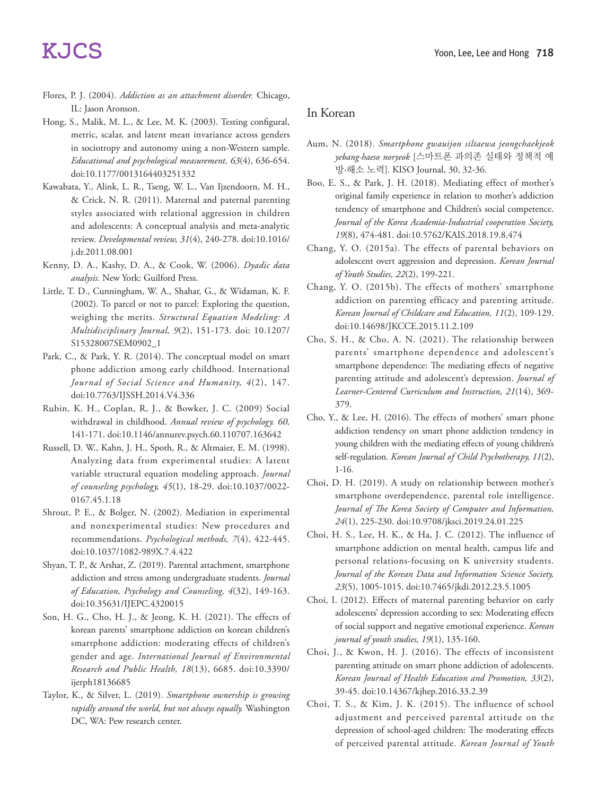- Flores, P. J. (2004). *Addiction as an attachment disorder.* Chicago, IL: Jason Aronson.
- Hong, S., Malik, M. L., & Lee, M. K. (2003). Testing configural, metric, scalar, and latent mean invariance across genders in sociotropy and autonomy using a non-Western sample. *Educational and psychological measurement, 63*(4), 636-654. doi:10.1177/0013164403251332
- Kawabata, Y., Alink, L. R., Tseng, W. L., Van Ijzendoorn, M. H., & Crick, N. R. (2011). Maternal and paternal parenting styles associated with relational aggression in children and adolescents: A conceptual analysis and meta-analytic review. *Developmental review, 31*(4), 240-278. doi:10.1016/ j.dr.2011.08.001
- Kenny, D. A., Kashy, D. A., & Cook, W. (2006). *Dyadic data analysis.* New York: Guilford Press.
- Little, T. D., Cunningham, W. A., Shahar, G., & Widaman, K. F. (2002). To parcel or not to parcel: Exploring the question, weighing the merits. *Structural Equation Modeling: A Multidisciplinary Journal, 9*(2), 151-173. doi: 10.1207/ S15328007SEM0902\_1
- Park, C., & Park, Y. R. (2014). The conceptual model on smart phone addiction among early childhood. International *Journal of Social Science and Humanity, 4*(2), 147. doi:10.7763/IJSSH.2014.V4.336
- Rubin, K. H., Coplan, R, J., & Bowker, J. C. (2009) Social withdrawal in childhood. *Annual review of psychology. 60,*  141-171. doi:10.1146/annurev.psych.60.110707.163642
- Russell, D. W., Kahn, J. H., Spoth, R., & Altmaier, E. M. (1998). Analyzing data from experimental studies: A latent variable structural equation modeling approach. *Journal of counseling psychology, 45*(1), 18-29. doi:10.1037/0022- 0167.45.1.18
- Shrout, P. E., & Bolger, N. (2002). Mediation in experimental and nonexperimental studies: New procedures and recommendations. *Psychological methods, 7*(4), 422-445. doi:10.1037/1082-989X.7.4.422
- Shyan, T. P., & Arshat, Z. (2019). Parental attachment, smartphone addiction and stress among undergraduate students. *Journal of Education, Psychology and Counseling, 4*(32), 149-163. doi:10.35631/IJEPC.4320015
- Son, H. G., Cho, H. J., & Jeong, K. H. (2021). The effects of korean parents' smartphone addiction on korean children's smartphone addiction: moderating effects of children's gender and age. *International Journal of Environmental Research and Public Health, 18*(13), 6685. doi:10.3390/ ijerph18136685
- Taylor, K., & Silver, L. (2019). *Smartphone ownership is growing rapidly around the world, but not always equally.* Washington DC, WA: Pew research center.

### In Korean

- Aum, N. (2018). *Smartphone gwauijon siltaewa jeongchaekjeok yebang·haeso noryeok* [스마트폰 과의존 실태와 정책적 예 방·해소 노력]. KISO Journal, 30, 32-36.
- Boo, E. S., & Park, J. H. (2018). Mediating effect of mother's original family experience in relation to mother's addiction tendency of smartphone and Children's social competence. *Journal of the Korea Academia-Industrial cooperation Society, 19*(8), 474-481. doi:10.5762/KAIS.2018.19.8.474
- Chang, Y. O. (2015a). The effects of parental behaviors on adolescent overt aggression and depression. *Korean Journal of Youth Studies, 22*(2), 199-221.
- Chang, Y. O. (2015b). The effects of mothers' smartphone addiction on parenting efficacy and parenting attitude. *Korean Journal of Childcare and Education, 11*(2), 109-129. doi:10.14698/JKCCE.2015.11.2.109
- Cho, S. H., & Cho, A. N. (2021). The relationship between parents' smartphone dependence and adolescent's smartphone dependence: The mediating effects of negative parenting attitude and adolescent's depression. *Journal of Learner-Centered Curriculum and Instruction, 21*(14), 369- 379.
- Cho, Y., & Lee, H. (2016). The effects of mothers' smart phone addiction tendency on smart phone addiction tendency in young children with the mediating effects of young children's self-regulation. *Korean Journal of Child Psychotherapy, 11*(2), 1-16.
- Choi, D. H. (2019). A study on relationship between mother's smartphone overdependence, parental role intelligence. *Journal of The Korea Society of Computer and Information, 24*(1), 225-230. doi:10.9708/jksci.2019.24.01.225
- Choi, H. S., Lee, H. K., & Ha, J. C. (2012). The influence of smartphone addiction on mental health, campus life and personal relations-focusing on K university students. *Journal of the Korean Data and Information Science Society, 23*(5), 1005-1015. doi:10.7465/jkdi.2012.23.5.1005
- Choi, I. (2012). Effects of maternal parenting behavior on early adolescents' depression according to sex: Moderating effects of social support and negative emotional experience. *Korean journal of youth studies, 19*(1), 135-160.
- Choi, J., & Kwon, H. J. (2016). The effects of inconsistent parenting attitude on smart phone addiction of adolescents. *Korean Journal of Health Education and Promotion, 33*(2), 39-45. doi:10.14367/kjhep.2016.33.2.39
- Choi, T. S., & Kim, J. K. (2015). The influence of school adjustment and perceived parental attitude on the depression of school-aged children: The moderating effects of perceived parental attitude. *Korean Journal of Youth*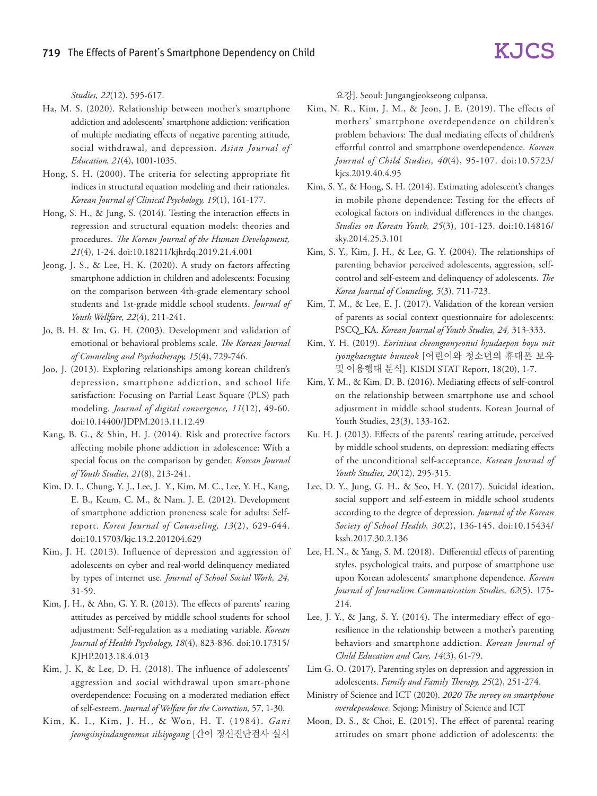*Studies, 22*(12), 595-617.

- Ha, M. S. (2020). Relationship between mother's smartphone addiction and adolescents' smartphone addiction: verification of multiple mediating effects of negative parenting attitude, social withdrawal, and depression. *Asian Journal of Education, 21*(4), 1001-1035.
- Hong, S. H. (2000). The criteria for selecting appropriate fit indices in structural equation modeling and their rationales. *Korean Journal of Clinical Psychology, 19*(1), 161-177.
- Hong, S. H., & Jung, S. (2014). Testing the interaction effects in regression and structural equation models: theories and procedures. *The Korean Journal of the Human Development, 21*(4), 1-24. doi:10.18211/kjhrdq.2019.21.4.001
- Jeong, J. S., & Lee, H. K. (2020). A study on factors affecting smartphone addiction in children and adolescents: Focusing on the comparison between 4th-grade elementary school students and 1st-grade middle school students. *Journal of Youth Wellfare, 22*(4), 211-241.
- Jo, B. H. & Im, G. H. (2003). Development and validation of emotional or behavioral problems scale. *The Korean Journal of Counseling and Psychotherapy, 15*(4), 729-746.
- Joo, J. (2013). Exploring relationships among korean children's depression, smartphone addiction, and school life satisfaction: Focusing on Partial Least Square (PLS) path modeling. *Journal of digital convergence, 11*(12), 49-60. doi:10.14400/JDPM.2013.11.12.49
- Kang, B. G., & Shin, H. J. (2014). Risk and protective factors affecting mobile phone addiction in adolescence: With a special focus on the comparison by gender. *Korean Journal of Youth Studies, 21*(8), 213-241.
- Kim, D. I., Chung, Y. J., Lee, J. Y., Kim, M. C., Lee, Y. H., Kang, E. B., Keum, C. M., & Nam. J. E. (2012). Development of smartphone addiction proneness scale for adults: Selfreport. *Korea Journal of Counseling, 13*(2), 629-644. doi:10.15703/kjc.13.2.201204.629
- Kim, J. H. (2013). Influence of depression and aggression of adolescents on cyber and real-world delinquency mediated by types of internet use. *Journal of School Social Work, 24,*  31-59.
- Kim, J. H., & Ahn, G. Y. R. (2013). The effects of parents' rearing attitudes as perceived by middle school students for school adjustment: Self-regulation as a mediating variable. *Korean Journal of Health Psychology, 18*(4), 823-836. doi:10.17315/ KJHP.2013.18.4.013
- Kim, J. K, & Lee, D. H. (2018). The influence of adolescents' aggression and social withdrawal upon smart-phone overdependence: Focusing on a moderated mediation effect of self-esteem. *Journal of Welfare for the Correction,* 57, 1-30.
- Kim, K. I., Kim, J. H., & Won, H. T. (1984). *Gani jeongsinjindangeomsa silsiyogang* [간이 정신진단검사 실시

요강]. Seoul: Jungangjeokseong culpansa.

- Kim, N. R., Kim, J. M., & Jeon, J. E. (2019). The effects of mothers' smartphone overdependence on children's problem behaviors: The dual mediating effects of children's effortful control and smartphone overdependence. *Korean Journal of Child Studies, 40*(4), 95-107. doi:10.5723/ kjcs.2019.40.4.95
- Kim, S. Y., & Hong, S. H. (2014). Estimating adolescent's changes in mobile phone dependence: Testing for the effects of ecological factors on individual differences in the changes. *Studies on Korean Youth, 25*(3), 101-123. doi:10.14816/ sky.2014.25.3.101
- Kim, S. Y., Kim, J. H., & Lee, G. Y. (2004). The relationships of parenting behavior perceived adolescents, aggression, selfcontrol and self-esteem and delinquency of adolescents. *The Korea Journal of Couneling, 5*(3), 711-723.
- Kim, T. M., & Lee, E. J. (2017). Validation of the korean version of parents as social context questionnaire for adolescents: PSCQ\_KA. *Korean Journal of Youth Studies, 24,* 313-333.
- Kim, Y. H. (2019). *Eoriniwa cheongsonyeonui hyudaepon boyu mit iyonghaengtae bunseok* [어린이와 청소년의 휴대폰 보유 및 이용행태 분석]. KISDI STAT Report, 18(20), 1-7.
- Kim, Y. M., & Kim, D. B. (2016). Mediating effects of self-control on the relationship between smartphone use and school adjustment in middle school students. Korean Journal of Youth Studies, 23(3), 133-162.
- Ku. H. J. (2013). Effects of the parents' rearing attitude, perceived by middle school students, on depression: mediating effects of the unconditional self-acceptance. *Korean Journal of Youth Studies, 20*(12), 295-315.
- Lee, D. Y., Jung, G. H., & Seo, H. Y. (2017). Suicidal ideation, social support and self-esteem in middle school students according to the degree of depression. *Journal of the Korean Society of School Health, 30*(2), 136-145. doi:10.15434/ kssh.2017.30.2.136
- Lee, H. N., & Yang, S. M. (2018). Differential effects of parenting styles, psychological traits, and purpose of smartphone use upon Korean adolescents' smartphone dependence. *Korean Journal of Journalism Communication Studies, 62*(5), 175- 214.
- Lee, J. Y., & Jang, S. Y. (2014). The intermediary effect of egoresilience in the relationship between a mother's parenting behaviors and smartphone addiction. *Korean Journal of Child Education and Care, 14*(3), 61-79.
- Lim G. O. (2017). Parenting styles on depression and aggression in adolescents. *Family and Family Therapy, 25*(2), 251-274.
- Ministry of Science and ICT (2020). *2020 The survey on smartphone overdependence.* Sejong: Ministry of Science and ICT
- Moon, D. S., & Choi, E. (2015). The effect of parental rearing attitudes on smart phone addiction of adolescents: the